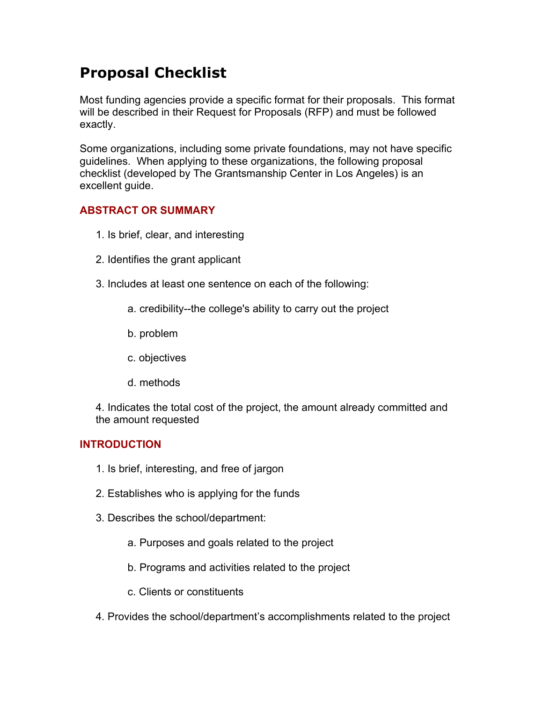# **Proposal Checklist**

Most funding agencies provide a specific format for their proposals. This format will be described in their Request for Proposals (RFP) and must be followed exactly.

Some organizations, including some private foundations, may not have specific guidelines. When applying to these organizations, the following proposal checklist (developed by The Grantsmanship Center in Los Angeles) is an excellent guide.

## **ABSTRACT OR SUMMARY**

- 1. Is brief, clear, and interesting
- 2. Identifies the grant applicant
- 3. Includes at least one sentence on each of the following:
	- a. credibility--the college's ability to carry out the project
	- b. problem
	- c. objectives
	- d. methods

4. Indicates the total cost of the project, the amount already committed and the amount requested

## **INTRODUCTION**

- 1. Is brief, interesting, and free of jargon
- 2. Establishes who is applying for the funds
- 3. Describes the school/department:
	- a. Purposes and goals related to the project
	- b. Programs and activities related to the project
	- c. Clients or constituents
- 4. Provides the school/department's accomplishments related to the project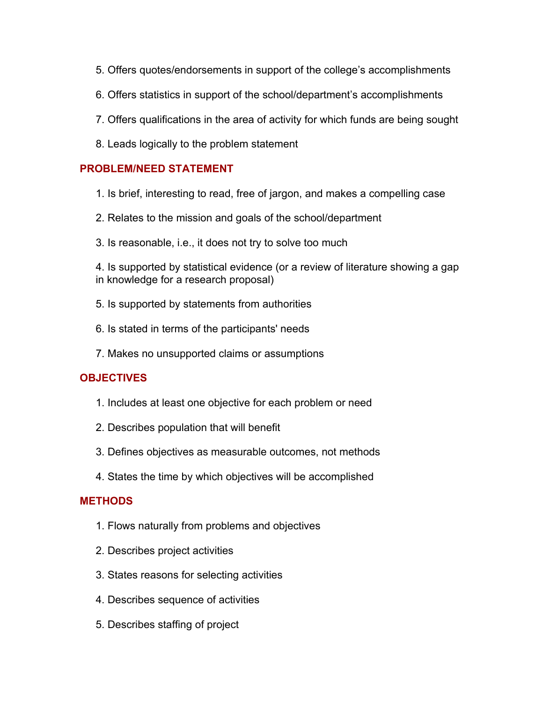- 5. Offers quotes/endorsements in support of the college's accomplishments
- 6. Offers statistics in support of the school/department's accomplishments
- 7. Offers qualifications in the area of activity for which funds are being sought
- 8. Leads logically to the problem statement

## **PROBLEM/NEED STATEMENT**

- 1. Is brief, interesting to read, free of jargon, and makes a compelling case
- 2. Relates to the mission and goals of the school/department
- 3. Is reasonable, i.e., it does not try to solve too much

4. Is supported by statistical evidence (or a review of literature showing a gap in knowledge for a research proposal)

- 5. Is supported by statements from authorities
- 6. Is stated in terms of the participants' needs
- 7. Makes no unsupported claims or assumptions

## **OBJECTIVES**

- 1. Includes at least one objective for each problem or need
- 2. Describes population that will benefit
- 3. Defines objectives as measurable outcomes, not methods
- 4. States the time by which objectives will be accomplished

## **METHODS**

- 1. Flows naturally from problems and objectives
- 2. Describes project activities
- 3. States reasons for selecting activities
- 4. Describes sequence of activities
- 5. Describes staffing of project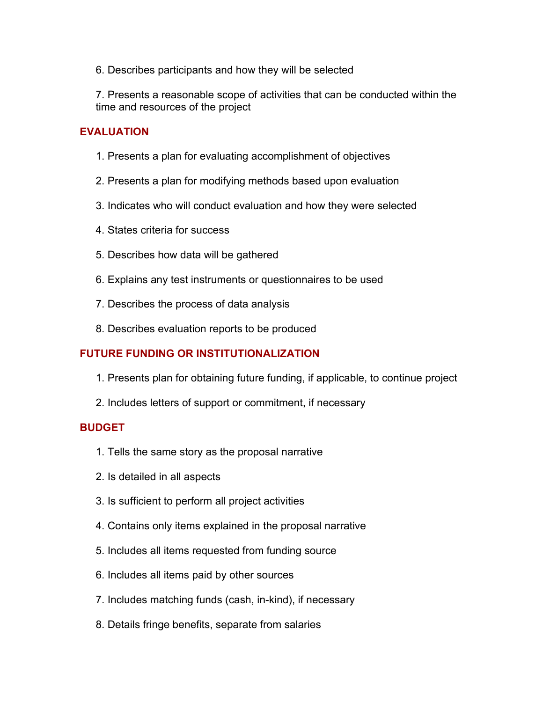6. Describes participants and how they will be selected

7. Presents a reasonable scope of activities that can be conducted within the time and resources of the project

## **EVALUATION**

- 1. Presents a plan for evaluating accomplishment of objectives
- 2. Presents a plan for modifying methods based upon evaluation
- 3. Indicates who will conduct evaluation and how they were selected
- 4. States criteria for success
- 5. Describes how data will be gathered
- 6. Explains any test instruments or questionnaires to be used
- 7. Describes the process of data analysis
- 8. Describes evaluation reports to be produced

## **FUTURE FUNDING OR INSTITUTIONALIZATION**

- 1. Presents plan for obtaining future funding, if applicable, to continue project
- 2. Includes letters of support or commitment, if necessary

#### **BUDGET**

- 1. Tells the same story as the proposal narrative
- 2. Is detailed in all aspects
- 3. Is sufficient to perform all project activities
- 4. Contains only items explained in the proposal narrative
- 5. Includes all items requested from funding source
- 6. Includes all items paid by other sources
- 7. Includes matching funds (cash, in-kind), if necessary
- 8. Details fringe benefits, separate from salaries